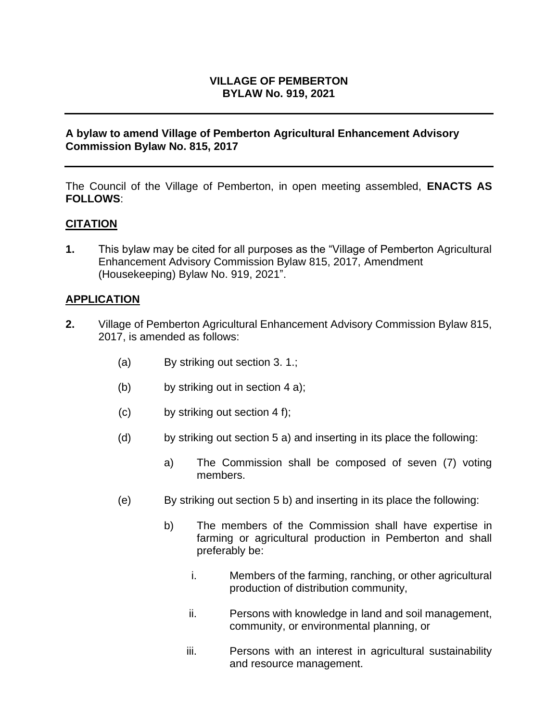## **VILLAGE OF PEMBERTON BYLAW No. 919, 2021**

## **A bylaw to amend Village of Pemberton Agricultural Enhancement Advisory Commission Bylaw No. 815, 2017**

The Council of the Village of Pemberton, in open meeting assembled, **ENACTS AS FOLLOWS**:

## **CITATION**

**1.** This bylaw may be cited for all purposes as the "Village of Pemberton Agricultural Enhancement Advisory Commission Bylaw 815, 2017, Amendment (Housekeeping) Bylaw No. 919, 2021".

#### **APPLICATION**

- **2.** Village of Pemberton Agricultural Enhancement Advisory Commission Bylaw 815, 2017, is amended as follows:
	- (a) By striking out section 3. 1.;
	- (b) by striking out in section 4 a);
	- (c) by striking out section 4 f);
	- (d) by striking out section 5 a) and inserting in its place the following:
		- a) The Commission shall be composed of seven (7) voting members.
	- (e) By striking out section 5 b) and inserting in its place the following:
		- b) The members of the Commission shall have expertise in farming or agricultural production in Pemberton and shall preferably be:
			- i. Members of the farming, ranching, or other agricultural production of distribution community,
			- ii. Persons with knowledge in land and soil management, community, or environmental planning, or
			- iii. Persons with an interest in agricultural sustainability and resource management.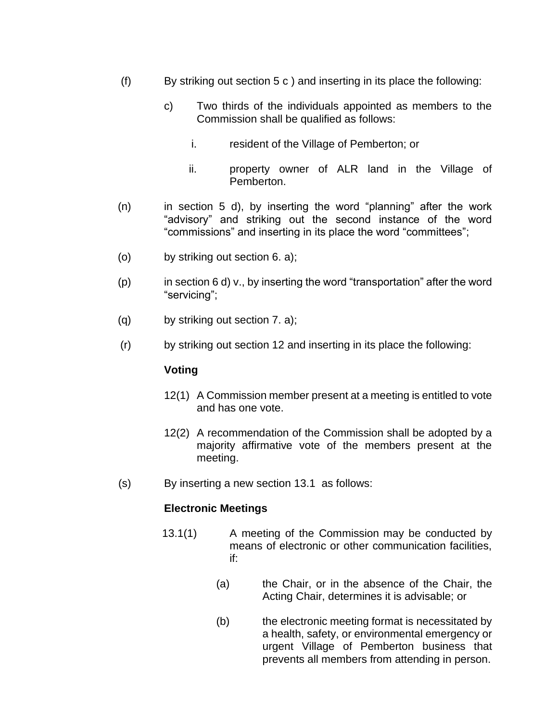- (f) By striking out section 5 c ) and inserting in its place the following:
	- c) Two thirds of the individuals appointed as members to the Commission shall be qualified as follows:
		- i. resident of the Village of Pemberton; or
		- ii. property owner of ALR land in the Village of Pemberton.
- $(n)$  in section 5 d), by inserting the word "planning" after the work "advisory" and striking out the second instance of the word "commissions" and inserting in its place the word "committees";
- (o) by striking out section 6. a);
- $(p)$  in section 6 d) v., by inserting the word "transportation" after the word "servicing";
- (q) by striking out section 7. a);
- (r) by striking out section 12 and inserting in its place the following:

#### **Voting**

- 12(1) A Commission member present at a meeting is entitled to vote and has one vote.
- 12(2) A recommendation of the Commission shall be adopted by a majority affirmative vote of the members present at the meeting.
- (s) By inserting a new section 13.1 as follows:

#### **Electronic Meetings**

- 13.1(1) A meeting of the Commission may be conducted by means of electronic or other communication facilities, if:
	- (a) the Chair, or in the absence of the Chair, the Acting Chair, determines it is advisable; or
	- (b) the electronic meeting format is necessitated by a health, safety, or environmental emergency or urgent Village of Pemberton business that prevents all members from attending in person.